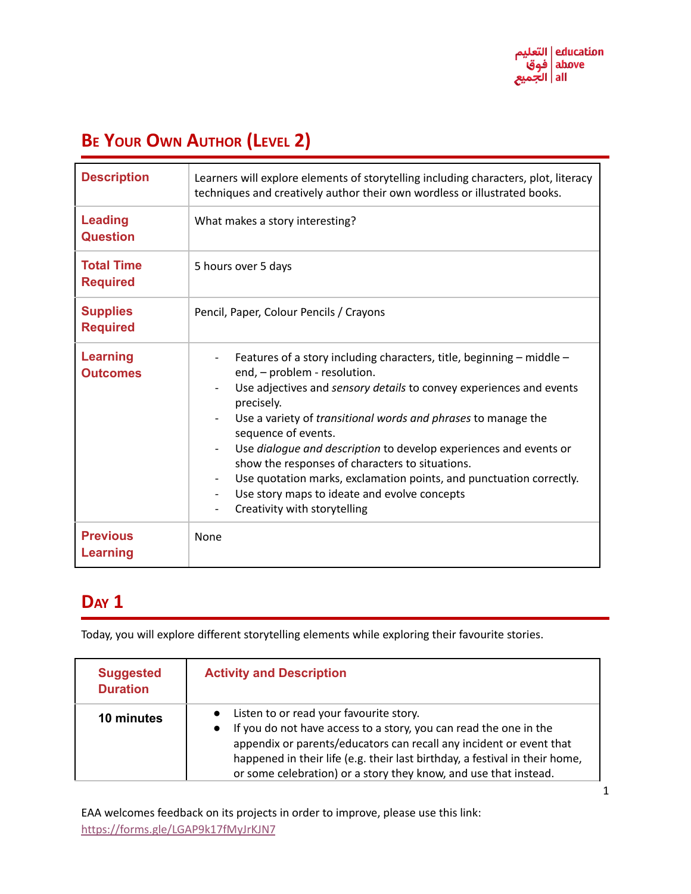# **BE YOUR OWN AUTHOR (LEVEL 2)**

| <b>Description</b>                   | Learners will explore elements of storytelling including characters, plot, literacy<br>techniques and creatively author their own wordless or illustrated books.                                                                                                                                                                                                                                                                                                                                                                                                                    |  |
|--------------------------------------|-------------------------------------------------------------------------------------------------------------------------------------------------------------------------------------------------------------------------------------------------------------------------------------------------------------------------------------------------------------------------------------------------------------------------------------------------------------------------------------------------------------------------------------------------------------------------------------|--|
| <b>Leading</b><br><b>Question</b>    | What makes a story interesting?                                                                                                                                                                                                                                                                                                                                                                                                                                                                                                                                                     |  |
| <b>Total Time</b><br><b>Required</b> | 5 hours over 5 days                                                                                                                                                                                                                                                                                                                                                                                                                                                                                                                                                                 |  |
| <b>Supplies</b><br><b>Required</b>   | Pencil, Paper, Colour Pencils / Crayons                                                                                                                                                                                                                                                                                                                                                                                                                                                                                                                                             |  |
| <b>Learning</b><br><b>Outcomes</b>   | Features of a story including characters, title, beginning $-$ middle $-$<br>end, - problem - resolution.<br>Use adjectives and sensory details to convey experiences and events<br>precisely.<br>Use a variety of <i>transitional words and phrases</i> to manage the<br>sequence of events.<br>Use <i>dialogue and description</i> to develop experiences and events or<br>show the responses of characters to situations.<br>Use quotation marks, exclamation points, and punctuation correctly.<br>Use story maps to ideate and evolve concepts<br>Creativity with storytelling |  |
| <b>Previous</b><br><b>Learning</b>   | None                                                                                                                                                                                                                                                                                                                                                                                                                                                                                                                                                                                |  |

### **DAY 1**

Today, you will explore different storytelling elements while exploring their favourite stories.

| <b>Suggested</b><br><b>Duration</b> | <b>Activity and Description</b>                                                                                                                                                                                                                                                                                                                     |
|-------------------------------------|-----------------------------------------------------------------------------------------------------------------------------------------------------------------------------------------------------------------------------------------------------------------------------------------------------------------------------------------------------|
| 10 minutes                          | Listen to or read your favourite story.<br>If you do not have access to a story, you can read the one in the<br>$\bullet$<br>appendix or parents/educators can recall any incident or event that<br>happened in their life (e.g. their last birthday, a festival in their home,<br>or some celebration) or a story they know, and use that instead. |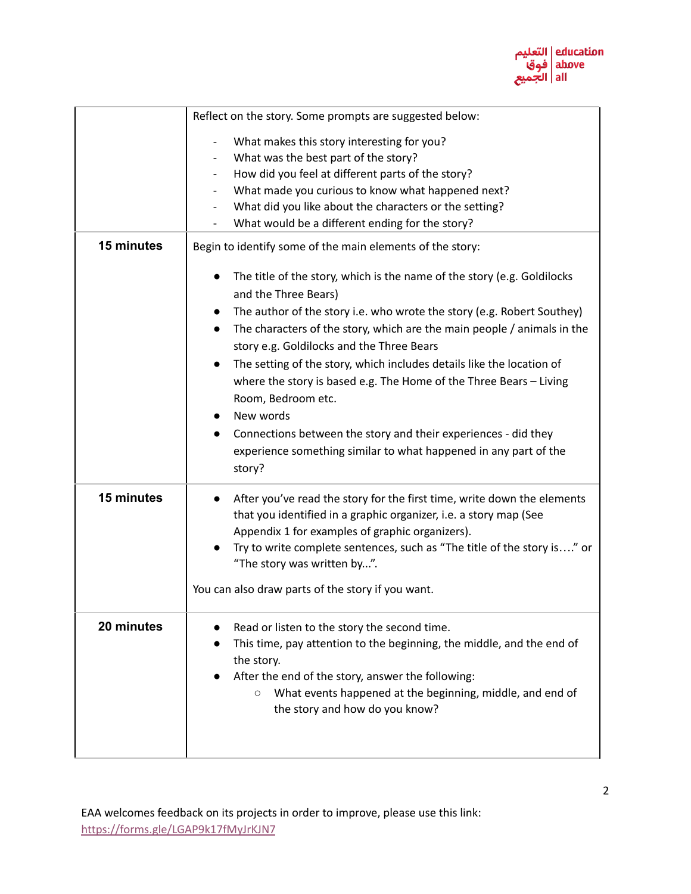

|            | Reflect on the story. Some prompts are suggested below:                                                                           |  |  |
|------------|-----------------------------------------------------------------------------------------------------------------------------------|--|--|
|            | What makes this story interesting for you?<br>$\overline{\phantom{a}}$                                                            |  |  |
|            | What was the best part of the story?                                                                                              |  |  |
|            | How did you feel at different parts of the story?                                                                                 |  |  |
|            | What made you curious to know what happened next?<br>$\overline{\phantom{a}}$                                                     |  |  |
|            | What did you like about the characters or the setting?                                                                            |  |  |
|            | What would be a different ending for the story?                                                                                   |  |  |
| 15 minutes | Begin to identify some of the main elements of the story:                                                                         |  |  |
|            | The title of the story, which is the name of the story (e.g. Goldilocks<br>and the Three Bears)                                   |  |  |
|            | The author of the story i.e. who wrote the story (e.g. Robert Southey)                                                            |  |  |
|            | The characters of the story, which are the main people / animals in the<br>$\bullet$<br>story e.g. Goldilocks and the Three Bears |  |  |
|            | The setting of the story, which includes details like the location of<br>$\bullet$                                                |  |  |
|            | where the story is based e.g. The Home of the Three Bears - Living                                                                |  |  |
|            | Room, Bedroom etc.                                                                                                                |  |  |
|            | New words                                                                                                                         |  |  |
|            | Connections between the story and their experiences - did they                                                                    |  |  |
|            | experience something similar to what happened in any part of the                                                                  |  |  |
|            | story?                                                                                                                            |  |  |
| 15 minutes | After you've read the story for the first time, write down the elements<br>$\bullet$                                              |  |  |
|            | that you identified in a graphic organizer, i.e. a story map (See                                                                 |  |  |
|            | Appendix 1 for examples of graphic organizers).                                                                                   |  |  |
|            | Try to write complete sentences, such as "The title of the story is" or                                                           |  |  |
|            | "The story was written by".                                                                                                       |  |  |
|            | You can also draw parts of the story if you want.                                                                                 |  |  |
| 20 minutes | Read or listen to the story the second time.                                                                                      |  |  |
|            | This time, pay attention to the beginning, the middle, and the end of                                                             |  |  |
|            | the story.                                                                                                                        |  |  |
|            | After the end of the story, answer the following:                                                                                 |  |  |
|            | What events happened at the beginning, middle, and end of<br>O                                                                    |  |  |
|            | the story and how do you know?                                                                                                    |  |  |
|            |                                                                                                                                   |  |  |
|            |                                                                                                                                   |  |  |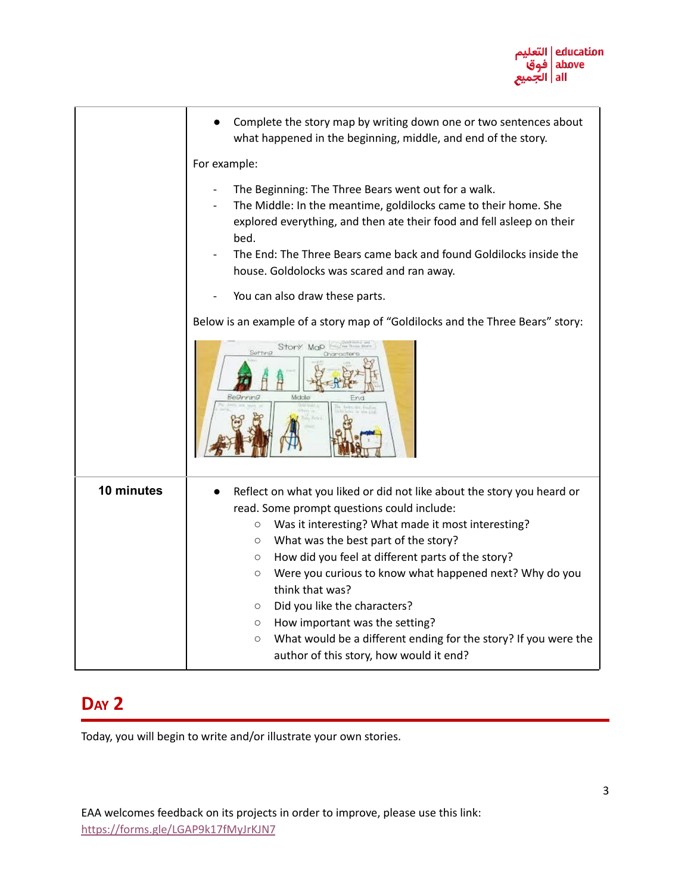

|            | Complete the story map by writing down one or two sentences about<br>what happened in the beginning, middle, and end of the story.                                                                                                                                                                                          |
|------------|-----------------------------------------------------------------------------------------------------------------------------------------------------------------------------------------------------------------------------------------------------------------------------------------------------------------------------|
|            | For example:                                                                                                                                                                                                                                                                                                                |
|            | The Beginning: The Three Bears went out for a walk.<br>The Middle: In the meantime, goldilocks came to their home. She<br>explored everything, and then ate their food and fell asleep on their<br>bed.<br>The End: The Three Bears came back and found Goldilocks inside the<br>house. Goldolocks was scared and ran away. |
|            | You can also draw these parts.                                                                                                                                                                                                                                                                                              |
|            | Below is an example of a story map of "Goldilocks and the Three Bears" story:                                                                                                                                                                                                                                               |
|            | Story<br>McO<br>Middle                                                                                                                                                                                                                                                                                                      |
| 10 minutes | Reflect on what you liked or did not like about the story you heard or                                                                                                                                                                                                                                                      |
|            | read. Some prompt questions could include:<br>Was it interesting? What made it most interesting?<br>$\bigcirc$                                                                                                                                                                                                              |
|            | What was the best part of the story?<br>$\circ$                                                                                                                                                                                                                                                                             |
|            | How did you feel at different parts of the story?<br>$\circ$                                                                                                                                                                                                                                                                |
|            | Were you curious to know what happened next? Why do you<br>$\circ$<br>think that was?                                                                                                                                                                                                                                       |
|            | Did you like the characters?<br>$\circ$                                                                                                                                                                                                                                                                                     |
|            | How important was the setting?<br>$\circ$                                                                                                                                                                                                                                                                                   |
|            | What would be a different ending for the story? If you were the<br>$\circ$<br>author of this story, how would it end?                                                                                                                                                                                                       |

## **DAY 2**

Today, you will begin to write and/or illustrate your own stories.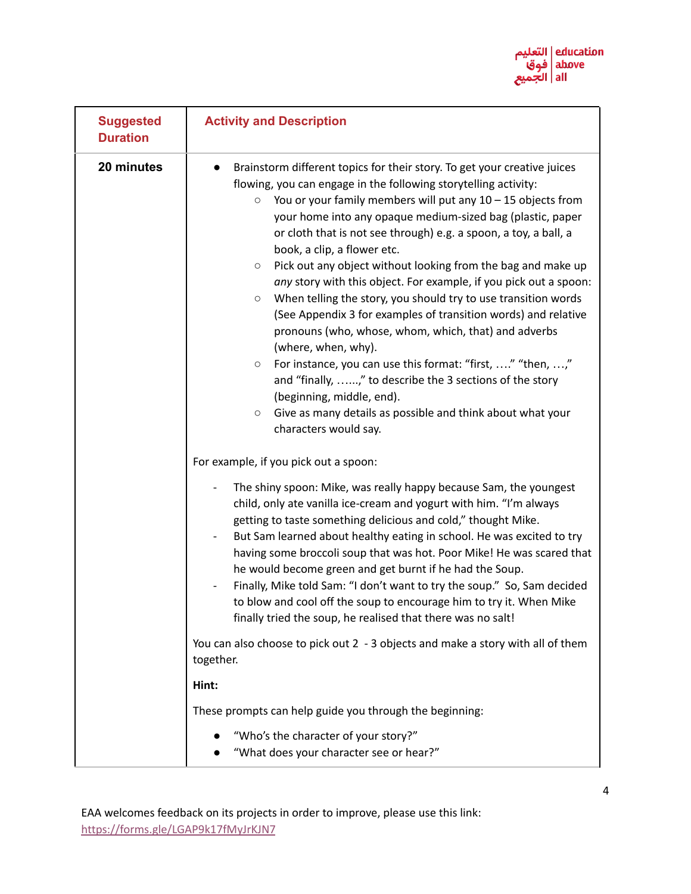

| <b>Suggested</b><br><b>Duration</b> | <b>Activity and Description</b>                                                                                                                                                                                                                                                                                                                                                                                                                                                                                                                                                                                                                                                                                                                                                                                                                                                                                                                                                                                                                          |  |  |
|-------------------------------------|----------------------------------------------------------------------------------------------------------------------------------------------------------------------------------------------------------------------------------------------------------------------------------------------------------------------------------------------------------------------------------------------------------------------------------------------------------------------------------------------------------------------------------------------------------------------------------------------------------------------------------------------------------------------------------------------------------------------------------------------------------------------------------------------------------------------------------------------------------------------------------------------------------------------------------------------------------------------------------------------------------------------------------------------------------|--|--|
| 20 minutes                          | Brainstorm different topics for their story. To get your creative juices<br>$\bullet$<br>flowing, you can engage in the following storytelling activity:<br>You or your family members will put any $10 - 15$ objects from<br>$\circ$<br>your home into any opaque medium-sized bag (plastic, paper<br>or cloth that is not see through) e.g. a spoon, a toy, a ball, a<br>book, a clip, a flower etc.<br>Pick out any object without looking from the bag and make up<br>$\circ$<br>any story with this object. For example, if you pick out a spoon:<br>When telling the story, you should try to use transition words<br>$\circ$<br>(See Appendix 3 for examples of transition words) and relative<br>pronouns (who, whose, whom, which, that) and adverbs<br>(where, when, why).<br>For instance, you can use this format: "first, " "then, ,"<br>$\circ$<br>and "finally, ," to describe the 3 sections of the story<br>(beginning, middle, end).<br>Give as many details as possible and think about what your<br>$\circ$<br>characters would say. |  |  |
|                                     | For example, if you pick out a spoon:<br>The shiny spoon: Mike, was really happy because Sam, the youngest<br>child, only ate vanilla ice-cream and yogurt with him. "I'm always<br>getting to taste something delicious and cold," thought Mike.<br>But Sam learned about healthy eating in school. He was excited to try<br>$\overline{\phantom{a}}$<br>having some broccoli soup that was hot. Poor Mike! He was scared that<br>he would become green and get burnt if he had the Soup.<br>Finally, Mike told Sam: "I don't want to try the soup." So, Sam decided<br>to blow and cool off the soup to encourage him to try it. When Mike<br>finally tried the soup, he realised that there was no salt!<br>You can also choose to pick out 2 - 3 objects and make a story with all of them<br>together.<br>Hint:<br>These prompts can help guide you through the beginning:<br>"Who's the character of your story?"                                                                                                                                  |  |  |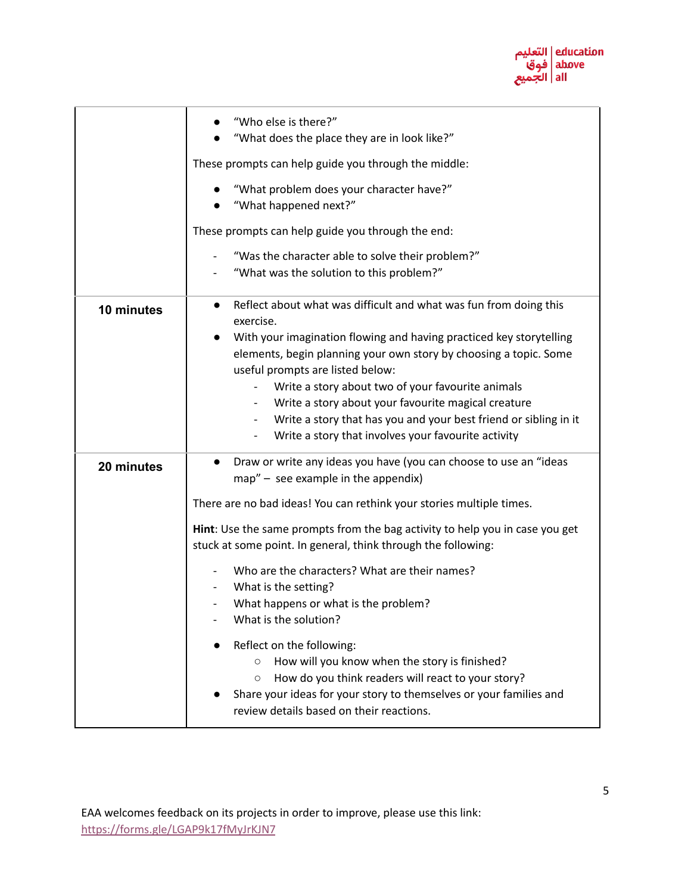

|            | "Who else is there?"<br>"What does the place they are in look like?"                                                                                                                                                                                                     |
|------------|--------------------------------------------------------------------------------------------------------------------------------------------------------------------------------------------------------------------------------------------------------------------------|
|            | These prompts can help guide you through the middle:                                                                                                                                                                                                                     |
|            | "What problem does your character have?"<br>"What happened next?"                                                                                                                                                                                                        |
|            | These prompts can help guide you through the end:                                                                                                                                                                                                                        |
|            | "Was the character able to solve their problem?"<br>"What was the solution to this problem?"<br>$\overline{\phantom{a}}$                                                                                                                                                 |
| 10 minutes | Reflect about what was difficult and what was fun from doing this<br>$\bullet$<br>exercise.                                                                                                                                                                              |
|            | With your imagination flowing and having practiced key storytelling<br>elements, begin planning your own story by choosing a topic. Some<br>useful prompts are listed below:                                                                                             |
|            | Write a story about two of your favourite animals<br>Write a story about your favourite magical creature<br>$\overline{\phantom{0}}$                                                                                                                                     |
|            | Write a story that has you and your best friend or sibling in it<br>$\blacksquare$<br>Write a story that involves your favourite activity                                                                                                                                |
| 20 minutes | Draw or write any ideas you have (you can choose to use an "ideas<br>map" - see example in the appendix)                                                                                                                                                                 |
|            | There are no bad ideas! You can rethink your stories multiple times.                                                                                                                                                                                                     |
|            | Hint: Use the same prompts from the bag activity to help you in case you get<br>stuck at some point. In general, think through the following:                                                                                                                            |
|            | Who are the characters? What are their names?<br>What is the setting?<br>What happens or what is the problem?<br>What is the solution?                                                                                                                                   |
|            | Reflect on the following:<br>How will you know when the story is finished?<br>$\circ$<br>How do you think readers will react to your story?<br>$\circ$<br>Share your ideas for your story to themselves or your families and<br>review details based on their reactions. |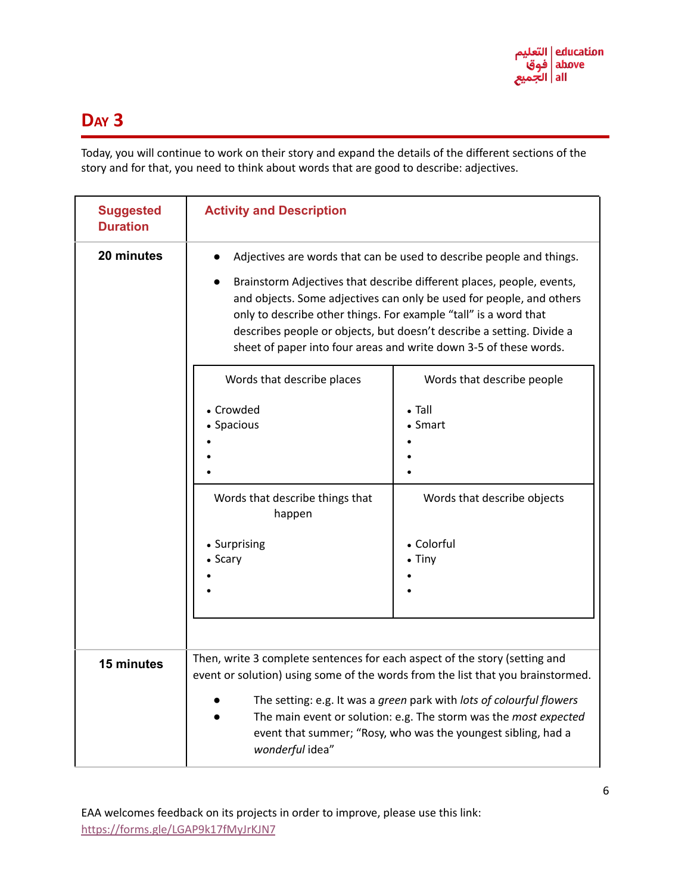

### **DAY 3**

Today, you will continue to work on their story and expand the details of the different sections of the story and for that, you need to think about words that are good to describe: adjectives.

| <b>Suggested</b><br><b>Duration</b> | <b>Activity and Description</b>                                                                                                                                                                                                                                                                                                                                                                                                         |                                                                                                                        |  |
|-------------------------------------|-----------------------------------------------------------------------------------------------------------------------------------------------------------------------------------------------------------------------------------------------------------------------------------------------------------------------------------------------------------------------------------------------------------------------------------------|------------------------------------------------------------------------------------------------------------------------|--|
| 20 minutes                          | Adjectives are words that can be used to describe people and things.<br>Brainstorm Adjectives that describe different places, people, events,<br>and objects. Some adjectives can only be used for people, and others<br>only to describe other things. For example "tall" is a word that<br>describes people or objects, but doesn't describe a setting. Divide a<br>sheet of paper into four areas and write down 3-5 of these words. |                                                                                                                        |  |
|                                     | Words that describe places<br>• Crowded<br>• Spacious<br>Words that describe things that<br>happen<br>• Surprising<br>• Scary                                                                                                                                                                                                                                                                                                           | Words that describe people<br>$\bullet$ Tall<br>• Smart<br>Words that describe objects<br>• Colorful<br>$\bullet$ Tiny |  |
| 15 minutes                          | Then, write 3 complete sentences for each aspect of the story (setting and<br>event or solution) using some of the words from the list that you brainstormed.<br>The setting: e.g. It was a green park with lots of colourful flowers<br>The main event or solution: e.g. The storm was the most expected<br>event that summer; "Rosy, who was the youngest sibling, had a<br>wonderful idea"                                           |                                                                                                                        |  |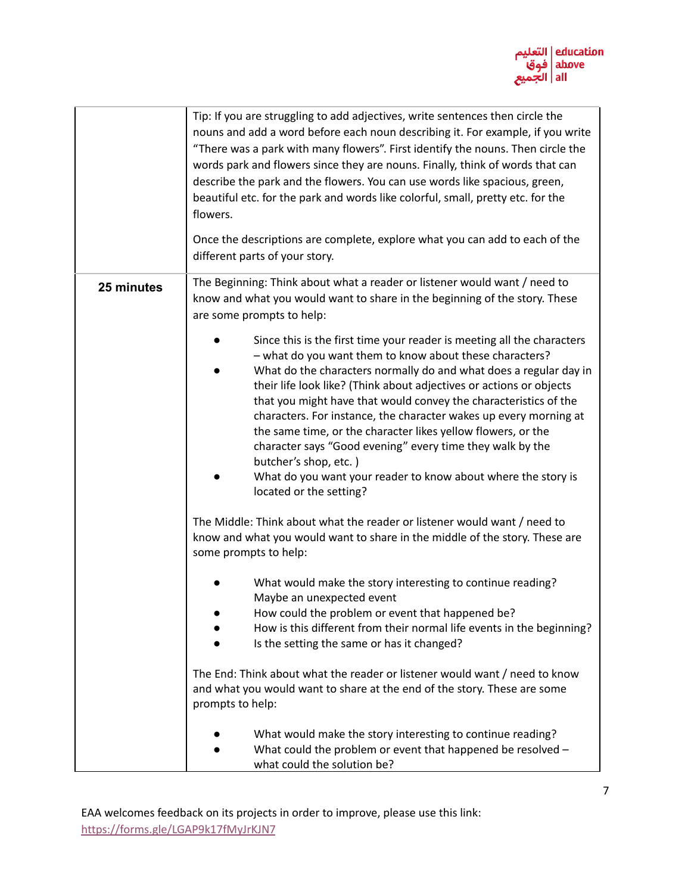

|            | Tip: If you are struggling to add adjectives, write sentences then circle the<br>nouns and add a word before each noun describing it. For example, if you write<br>"There was a park with many flowers". First identify the nouns. Then circle the<br>words park and flowers since they are nouns. Finally, think of words that can<br>describe the park and the flowers. You can use words like spacious, green,<br>beautiful etc. for the park and words like colorful, small, pretty etc. for the<br>flowers.<br>Once the descriptions are complete, explore what you can add to each of the<br>different parts of your story.                                                                                                                                                                                                                                                                                                                                                                                                                                                                                                                                                                                                                                            |
|------------|------------------------------------------------------------------------------------------------------------------------------------------------------------------------------------------------------------------------------------------------------------------------------------------------------------------------------------------------------------------------------------------------------------------------------------------------------------------------------------------------------------------------------------------------------------------------------------------------------------------------------------------------------------------------------------------------------------------------------------------------------------------------------------------------------------------------------------------------------------------------------------------------------------------------------------------------------------------------------------------------------------------------------------------------------------------------------------------------------------------------------------------------------------------------------------------------------------------------------------------------------------------------------|
| 25 minutes | The Beginning: Think about what a reader or listener would want / need to<br>know and what you would want to share in the beginning of the story. These<br>are some prompts to help:<br>Since this is the first time your reader is meeting all the characters<br>- what do you want them to know about these characters?<br>What do the characters normally do and what does a regular day in<br>their life look like? (Think about adjectives or actions or objects<br>that you might have that would convey the characteristics of the<br>characters. For instance, the character wakes up every morning at<br>the same time, or the character likes yellow flowers, or the<br>character says "Good evening" every time they walk by the<br>butcher's shop, etc.)<br>What do you want your reader to know about where the story is<br>located or the setting?<br>The Middle: Think about what the reader or listener would want / need to<br>know and what you would want to share in the middle of the story. These are<br>some prompts to help:<br>What would make the story interesting to continue reading?<br>Maybe an unexpected event<br>How could the problem or event that happened be?<br>How is this different from their normal life events in the beginning? |
|            | Is the setting the same or has it changed?<br>The End: Think about what the reader or listener would want / need to know<br>and what you would want to share at the end of the story. These are some<br>prompts to help:<br>What would make the story interesting to continue reading?<br>What could the problem or event that happened be resolved -<br>what could the solution be?                                                                                                                                                                                                                                                                                                                                                                                                                                                                                                                                                                                                                                                                                                                                                                                                                                                                                         |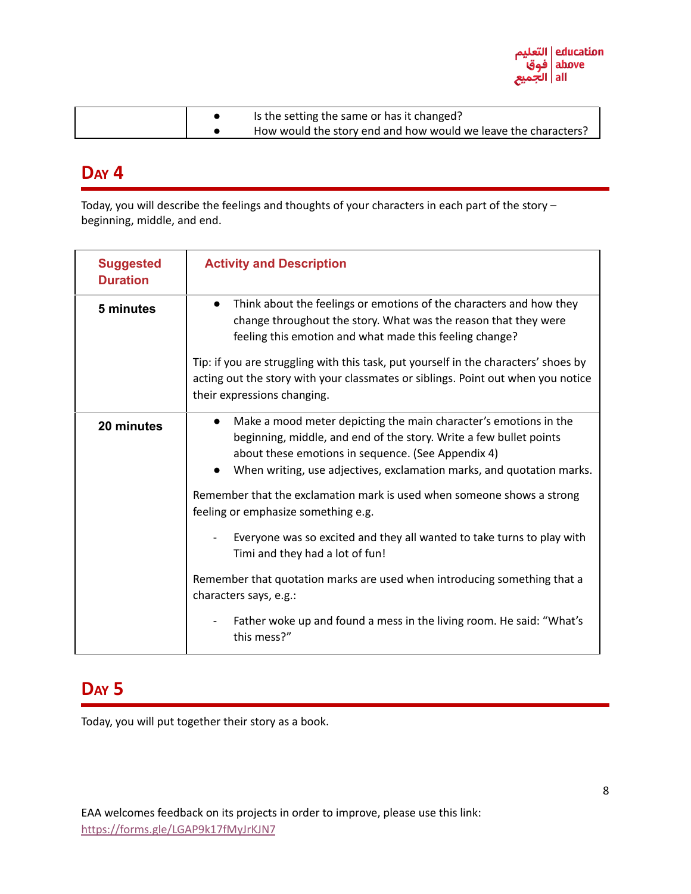

|  | Is the setting the same or has it changed?                     |
|--|----------------------------------------------------------------|
|  | How would the story end and how would we leave the characters? |

### **DAY 4**

Today, you will describe the feelings and thoughts of your characters in each part of the story – beginning, middle, and end.

| <b>Suggested</b><br><b>Duration</b> | <b>Activity and Description</b>                                                                                                                                                                                                                                                    |  |
|-------------------------------------|------------------------------------------------------------------------------------------------------------------------------------------------------------------------------------------------------------------------------------------------------------------------------------|--|
| 5 minutes                           | Think about the feelings or emotions of the characters and how they<br>change throughout the story. What was the reason that they were<br>feeling this emotion and what made this feeling change?                                                                                  |  |
|                                     | Tip: if you are struggling with this task, put yourself in the characters' shoes by<br>acting out the story with your classmates or siblings. Point out when you notice<br>their expressions changing.                                                                             |  |
| 20 minutes                          | Make a mood meter depicting the main character's emotions in the<br>$\bullet$<br>beginning, middle, and end of the story. Write a few bullet points<br>about these emotions in sequence. (See Appendix 4)<br>When writing, use adjectives, exclamation marks, and quotation marks. |  |
|                                     | Remember that the exclamation mark is used when someone shows a strong<br>feeling or emphasize something e.g.                                                                                                                                                                      |  |
|                                     | Everyone was so excited and they all wanted to take turns to play with<br>Timi and they had a lot of fun!                                                                                                                                                                          |  |
|                                     | Remember that quotation marks are used when introducing something that a<br>characters says, e.g.:                                                                                                                                                                                 |  |
|                                     | Father woke up and found a mess in the living room. He said: "What's<br>this mess?"                                                                                                                                                                                                |  |

### **DAY 5**

Today, you will put together their story as a book.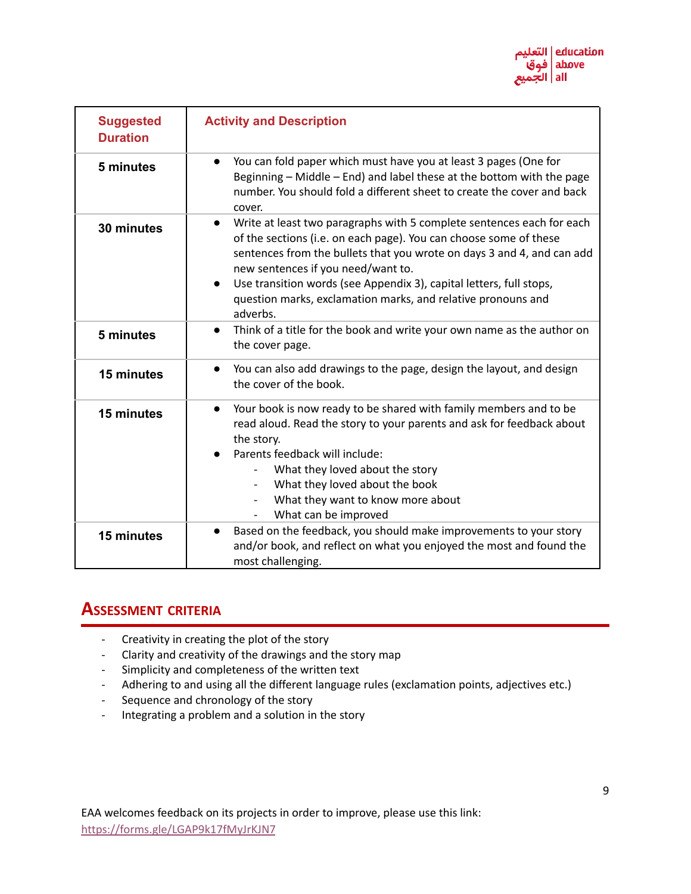

| <b>Suggested</b><br><b>Duration</b> | <b>Activity and Description</b>                                                                                                                                                                                                                                                                                                                                                                                                         |  |  |
|-------------------------------------|-----------------------------------------------------------------------------------------------------------------------------------------------------------------------------------------------------------------------------------------------------------------------------------------------------------------------------------------------------------------------------------------------------------------------------------------|--|--|
| 5 minutes                           | You can fold paper which must have you at least 3 pages (One for<br>$\bullet$<br>Beginning - Middle - End) and label these at the bottom with the page<br>number. You should fold a different sheet to create the cover and back<br>cover.                                                                                                                                                                                              |  |  |
| 30 minutes                          | Write at least two paragraphs with 5 complete sentences each for each<br>$\bullet$<br>of the sections (i.e. on each page). You can choose some of these<br>sentences from the bullets that you wrote on days 3 and 4, and can add<br>new sentences if you need/want to.<br>Use transition words (see Appendix 3), capital letters, full stops,<br>$\bullet$<br>question marks, exclamation marks, and relative pronouns and<br>adverbs. |  |  |
| 5 minutes                           | Think of a title for the book and write your own name as the author on<br>$\bullet$<br>the cover page.                                                                                                                                                                                                                                                                                                                                  |  |  |
| 15 minutes                          | You can also add drawings to the page, design the layout, and design<br>$\bullet$<br>the cover of the book.                                                                                                                                                                                                                                                                                                                             |  |  |
| 15 minutes                          | Your book is now ready to be shared with family members and to be<br>$\bullet$<br>read aloud. Read the story to your parents and ask for feedback about<br>the story.<br>Parents feedback will include:<br>$\bullet$<br>What they loved about the story<br>What they loved about the book<br>$\overline{\phantom{a}}$<br>What they want to know more about<br>What can be improved<br>$\overline{\phantom{a}}$                          |  |  |
| 15 minutes                          | Based on the feedback, you should make improvements to your story<br>$\bullet$<br>and/or book, and reflect on what you enjoyed the most and found the<br>most challenging.                                                                                                                                                                                                                                                              |  |  |

### **ASSESSMENT CRITERIA**

- Creativity in creating the plot of the story
- Clarity and creativity of the drawings and the story map
- Simplicity and completeness of the written text
- Adhering to and using all the different language rules (exclamation points, adjectives etc.)
- Sequence and chronology of the story
- Integrating a problem and a solution in the story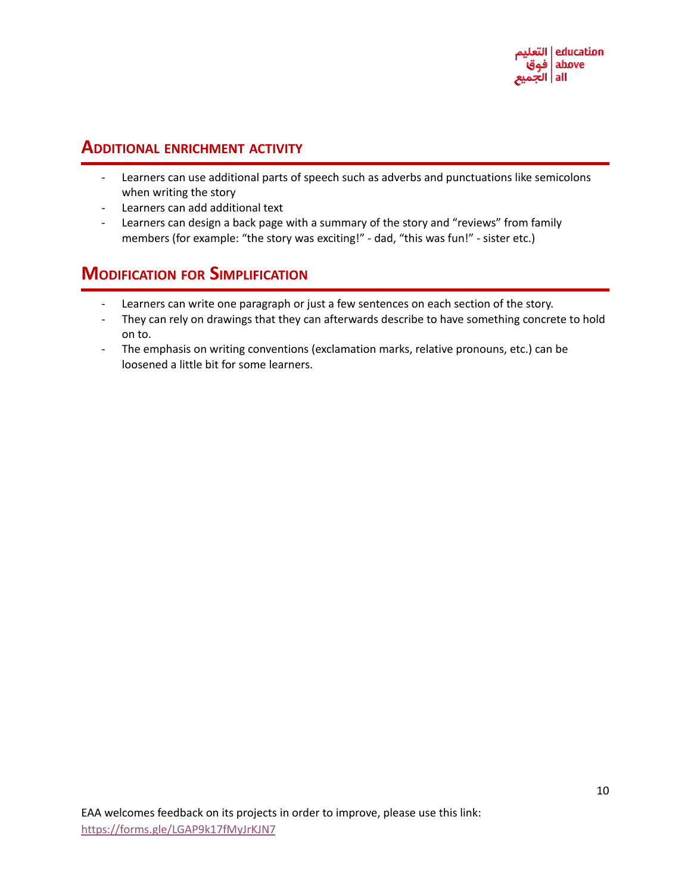#### **ADDITIONAL ENRICHMENT ACTIVITY**

- Learners can use additional parts of speech such as adverbs and punctuations like semicolons when writing the story
- Learners can add additional text
- Learners can design a back page with a summary of the story and "reviews" from family members (for example: "the story was exciting!" - dad, "this was fun!" - sister etc.)

### **MODIFICATION FOR SIMPLIFICATION**

- Learners can write one paragraph or just a few sentences on each section of the story.
- They can rely on drawings that they can afterwards describe to have something concrete to hold on to.
- The emphasis on writing conventions (exclamation marks, relative pronouns, etc.) can be loosened a little bit for some learners.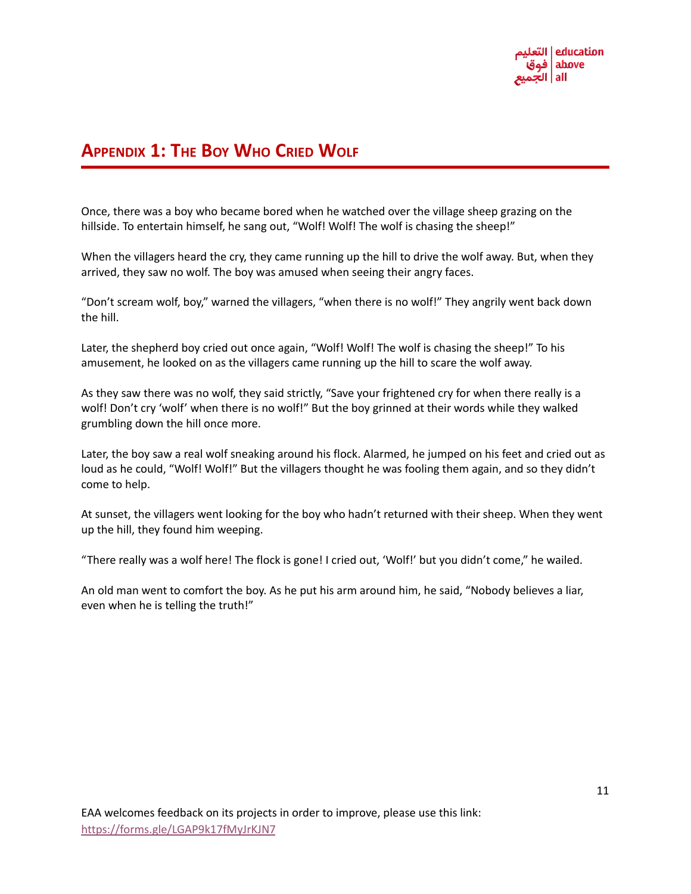

### **APPENDIX 1: THE BOY WHO CRIED WOLF**

Once, there was a boy who became bored when he watched over the village sheep grazing on the hillside. To entertain himself, he sang out, "Wolf! Wolf! The wolf is chasing the sheep!"

When the villagers heard the cry, they came running up the hill to drive the wolf away. But, when they arrived, they saw no wolf. The boy was amused when seeing their angry faces.

"Don't scream wolf, boy," warned the villagers, "when there is no wolf!" They angrily went back down the hill.

Later, the shepherd boy cried out once again, "Wolf! Wolf! The wolf is chasing the sheep!" To his amusement, he looked on as the villagers came running up the hill to scare the wolf away.

As they saw there was no wolf, they said strictly, "Save your frightened cry for when there really is a wolf! Don't cry 'wolf' when there is no wolf!" But the boy grinned at their words while they walked grumbling down the hill once more.

Later, the boy saw a real wolf sneaking around his flock. Alarmed, he jumped on his feet and cried out as loud as he could, "Wolf! Wolf!" But the villagers thought he was fooling them again, and so they didn't come to help.

At sunset, the villagers went looking for the boy who hadn't returned with their sheep. When they went up the hill, they found him weeping.

"There really was a wolf here! The flock is gone! I cried out, 'Wolf!' but you didn't come," he wailed.

An old man went to comfort the boy. As he put his arm around him, he said, "Nobody believes a liar, even when he is telling the truth!"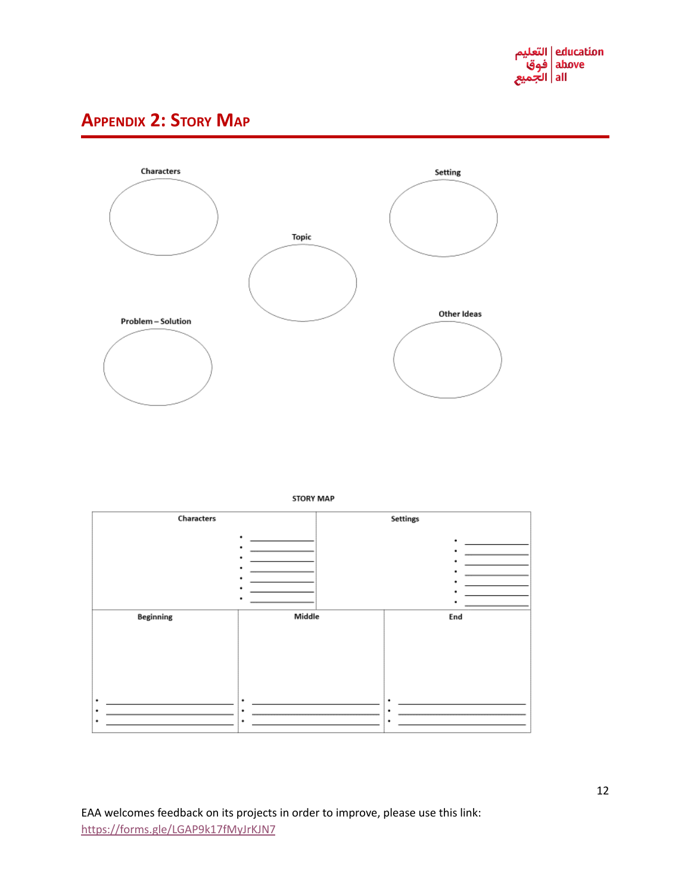

# **APPENDIX 2: STORY MAP**

Characters



**STORY MAP** 

Settings

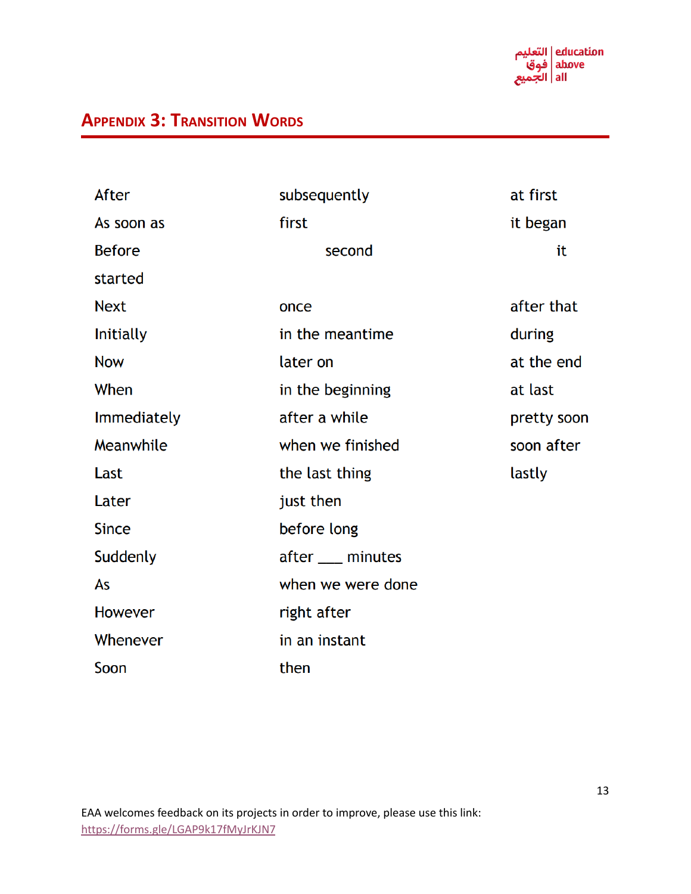education | التعليم above | فوق all | الجميع

# **APPENDIX 3: TRANSITION WORDS**

| After              | subsequently      | at first    |
|--------------------|-------------------|-------------|
| As soon as         | first             | it began    |
| <b>Before</b>      | second            | it          |
| started            |                   |             |
| <b>Next</b>        | once              | after that  |
| <b>Initially</b>   | in the meantime   | during      |
| <b>Now</b>         | later on          | at the end  |
| When               | in the beginning  | at last     |
| <b>Immediately</b> | after a while     | pretty soon |
| Meanwhile          | when we finished  | soon after  |
| Last               | the last thing    | lastly      |
| Later              | just then         |             |
| <b>Since</b>       | before long       |             |
| Suddenly           | after ___ minutes |             |
| As                 | when we were done |             |
| <b>However</b>     | right after       |             |
| Whenever           | in an instant     |             |
| Soon               | then              |             |